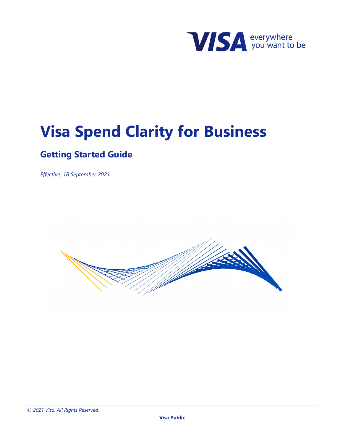

# **Visa Spend Clarity for Business**

## **Getting Started Guide**

*Effective: 18 September 2021*

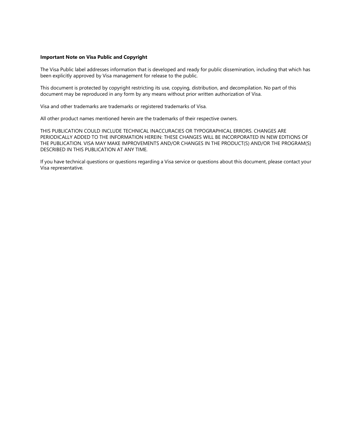#### **Important Note on Visa Public and Copyright**

The Visa Public label addresses information that is developed and ready for public dissemination, including that which has been explicitly approved by Visa management for release to the public.

This document is protected by copyright restricting its use, copying, distribution, and decompilation. No part of this document may be reproduced in any form by any means without prior written authorization of Visa.

Visa and other trademarks are trademarks or registered trademarks of Visa.

All other product names mentioned herein are the trademarks of their respective owners.

THIS PUBLICATION COULD INCLUDE TECHNICAL INACCURACIES OR TYPOGRAPHICAL ERRORS. CHANGES ARE PERIODICALLY ADDED TO THE INFORMATION HEREIN: THESE CHANGES WILL BE INCORPORATED IN NEW EDITIONS OF THE PUBLICATION. VISA MAY MAKE IMPROVEMENTS AND/OR CHANGES IN THE PRODUCT(S) AND/OR THE PROGRAM(S) DESCRIBED IN THIS PUBLICATION AT ANY TIME.

If you have technical questions or questions regarding a Visa service or questions about this document, please contact your Visa representative.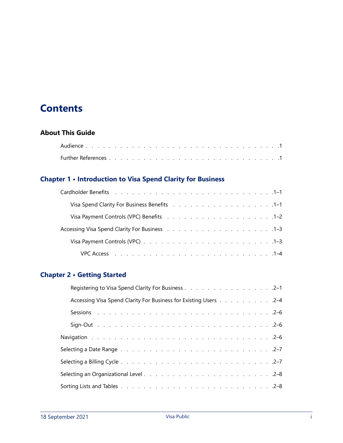## **Contents**

## **[About This Guide](#page-10-0)**

## **[Chapter 1 • Introduction to Visa Spend Clarity for Business](#page-12-0)**

| Visa Spend Clarity For Business Benefits (also contained a series and series and SP-1 |  |  |  |  |  |  |  |  |  |
|---------------------------------------------------------------------------------------|--|--|--|--|--|--|--|--|--|
| Visa Payment Controls (VPC) Benefits (e.g. e.g. e.g. e.g. e.g. e.g. e.g. 1–2          |  |  |  |  |  |  |  |  |  |
|                                                                                       |  |  |  |  |  |  |  |  |  |
|                                                                                       |  |  |  |  |  |  |  |  |  |
|                                                                                       |  |  |  |  |  |  |  |  |  |

## **[Chapter 2 • Getting Started](#page-16-0)**

| Registering to Visa Spend Clarity For Business 2-1               |  |  |  |  |  |  |  |
|------------------------------------------------------------------|--|--|--|--|--|--|--|
| Accessing Visa Spend Clarity For Business for Existing Users 2-4 |  |  |  |  |  |  |  |
|                                                                  |  |  |  |  |  |  |  |
|                                                                  |  |  |  |  |  |  |  |
|                                                                  |  |  |  |  |  |  |  |
|                                                                  |  |  |  |  |  |  |  |
|                                                                  |  |  |  |  |  |  |  |
|                                                                  |  |  |  |  |  |  |  |
|                                                                  |  |  |  |  |  |  |  |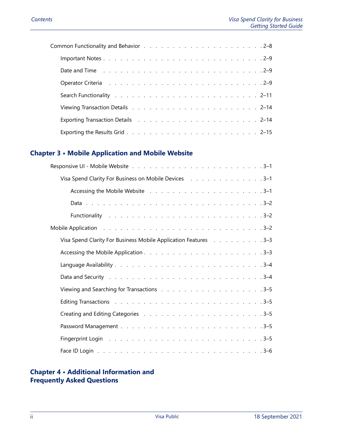| Date and Time (a) and a contract the contract of the contract of the contract of the contract of the contract of the contract of the contract of the contract of the contract of the contract of the contract of the contract |  |  |  |  |  |  |  |  |  |  |  |
|-------------------------------------------------------------------------------------------------------------------------------------------------------------------------------------------------------------------------------|--|--|--|--|--|--|--|--|--|--|--|
| Operator Criteria et al., and a series and a series are a series and a series are series and a series of 2-9                                                                                                                  |  |  |  |  |  |  |  |  |  |  |  |
|                                                                                                                                                                                                                               |  |  |  |  |  |  |  |  |  |  |  |
|                                                                                                                                                                                                                               |  |  |  |  |  |  |  |  |  |  |  |
| Exporting Transaction Details (Albert Robert Lewis Albert Robert Lewis Albert Robert Lewis Albert Robert Lewis                                                                                                                |  |  |  |  |  |  |  |  |  |  |  |
|                                                                                                                                                                                                                               |  |  |  |  |  |  |  |  |  |  |  |

## **[Chapter 3 • Mobile Application and Mobile Website](#page-32-0)**

| Visa Spend Clarity For Business on Mobile Devices (assets assets as a set of 3-1                               |
|----------------------------------------------------------------------------------------------------------------|
|                                                                                                                |
|                                                                                                                |
|                                                                                                                |
| Mobile Application research research research research research research research research research research r |
| Visa Spend Clarity For Business Mobile Application Features 3–3                                                |
|                                                                                                                |
|                                                                                                                |
|                                                                                                                |
|                                                                                                                |
|                                                                                                                |
|                                                                                                                |
|                                                                                                                |
|                                                                                                                |
|                                                                                                                |

## **[Chapter 4 • Additional Information and](#page-38-0)  [Frequently Asked Questions](#page-38-0)**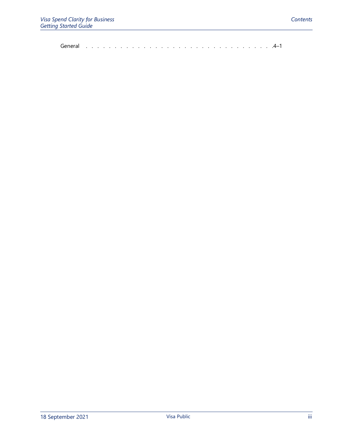[General . . . . . . . . . . . . . . . . . . . . . . . . . . . . . . . . .4–1](#page-38-1)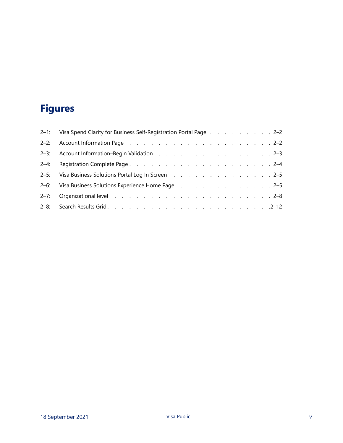## **Figures**

|          | 2-1: Visa Spend Clarity for Business Self-Registration Portal Page 2-2                                                                                                                                                         |
|----------|--------------------------------------------------------------------------------------------------------------------------------------------------------------------------------------------------------------------------------|
|          |                                                                                                                                                                                                                                |
|          | 2-3: Account Information-Begin Validation 2-3                                                                                                                                                                                  |
|          |                                                                                                                                                                                                                                |
|          | 2-5: Visa Business Solutions Portal Log In Screen 2-5                                                                                                                                                                          |
|          | 2-6: Visa Business Solutions Experience Home Page (a) and a contract the state of 2-5                                                                                                                                          |
| $2 - 7:$ | Organizational level and a contract the contract of the contract of the contract of the contract of the contract of the contract of the contract of the contract of the contract of the contract of the contract of the contra |
|          |                                                                                                                                                                                                                                |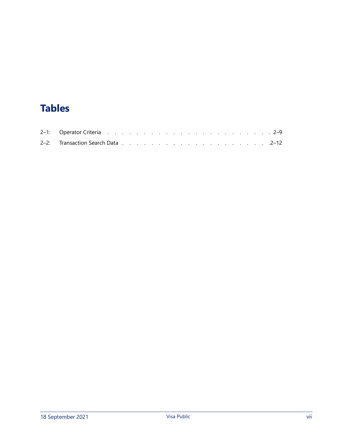## **Tables**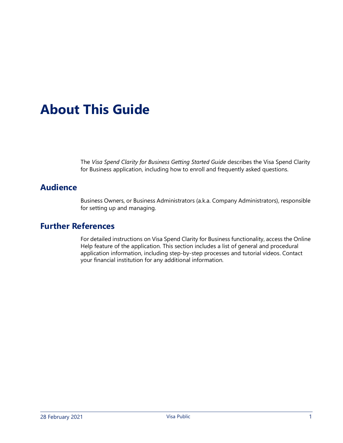# <span id="page-10-0"></span>**About This Guide**

The *Visa Spend Clarity for Business Getting Started Guide* describes the Visa Spend Clarity for Business application, including how to enroll and frequently asked questions.

## <span id="page-10-1"></span>**Audience**

Business Owners, or Business Administrators (a.k.a. Company Administrators), responsible for setting up and managing.

## <span id="page-10-2"></span>**Further References**

For detailed instructions on Visa Spend Clarity for Business functionality, access the Online Help feature of the application. This section includes a list of general and procedural application information, including step-by-step processes and tutorial videos. Contact your financial institution for any additional information.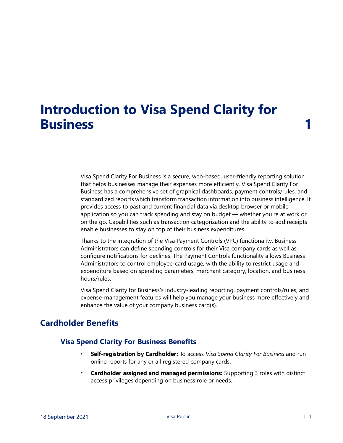## <span id="page-12-0"></span>**Introduction to Visa Spend Clarity for Business 1**

Visa Spend Clarity For Business is a secure, web-based, user-friendly reporting solution that helps businesses manage their expenses more efficiently. Visa Spend Clarity For Business has a comprehensive set of graphical dashboards, payment controls/rules, and standardized reports which transform transaction information into business intelligence. It provides access to past and current financial data via desktop browser or mobile application so you can track spending and stay on budget — whether you're at work or on the go. Capabilities such as transaction categorization and the ability to add receipts enable businesses to stay on top of their business expenditures.

Thanks to the integration of the Visa Payment Controls (VPC) functionality, Business Administrators can define spending controls for their Visa company cards as well as configure notifications for declines. The Payment Controls functionality allows Business Administrators to control employee-card usage, with the ability to restrict usage and expenditure based on spending parameters, merchant category, location, and business hours/rules.

Visa Spend Clarity for Business's industry-leading reporting, payment controls/rules, and expense-management features will help you manage your business more effectively and enhance the value of your company business card(s).

## <span id="page-12-2"></span><span id="page-12-1"></span>**Cardholder Benefits**

## **Visa Spend Clarity For Business Benefits**

- **Self-registration by Cardholder:** To access *Visa Spend Clarity For Business* and run online reports for any or all registered company cards.
- **Cardholder assigned and managed permissions:** Supporting 3 roles with distinct access privileges depending on business role or needs.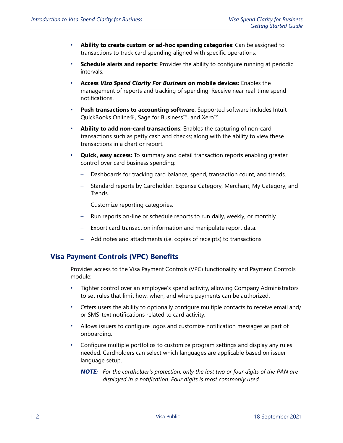- **Ability to create custom or ad-hoc spending categories**: Can be assigned to transactions to track card spending aligned with specific operations.
- **Schedule alerts and reports:** Provides the ability to configure running at periodic intervals.
- **Access** *Visa Spend Clarity For Business* **on mobile devices:** Enables the management of reports and tracking of spending. Receive near real-time spend notifications.
- **Push transactions to accounting software**: Supported software includes Intuit QuickBooks Online®, Sage for Business™, and Xero™.
- **Ability to add non-card transactions**: Enables the capturing of non-card transactions such as petty cash and checks; along with the ability to view these transactions in a chart or report.
- **Quick, easy access:** To summary and detail transaction reports enabling greater control over card business spending:
	- Dashboards for tracking card balance, spend, transaction count, and trends.
	- Standard reports by Cardholder, Expense Category, Merchant, My Category, and Trends.
	- Customize reporting categories.
	- Run reports on-line or schedule reports to run daily, weekly, or monthly.
	- Export card transaction information and manipulate report data.
	- Add notes and attachments (i.e. copies of receipts) to transactions.

### <span id="page-13-0"></span>**Visa Payment Controls (VPC) Benefits**

Provides access to the Visa Payment Controls (VPC) functionality and Payment Controls module:

- Tighter control over an employee's spend activity, allowing Company Administrators to set rules that limit how, when, and where payments can be authorized.
- Offers users the ability to optionally configure multiple contacts to receive email and/ or SMS-text notifications related to card activity.
- Allows issuers to configure logos and customize notification messages as part of onboarding.
- Configure multiple portfolios to customize program settings and display any rules needed. Cardholders can select which languages are applicable based on issuer language setup.
	- *NOTE: For the cardholder's protection, only the last two or four digits of the PAN are displayed in a notification. Four digits is most commonly used.*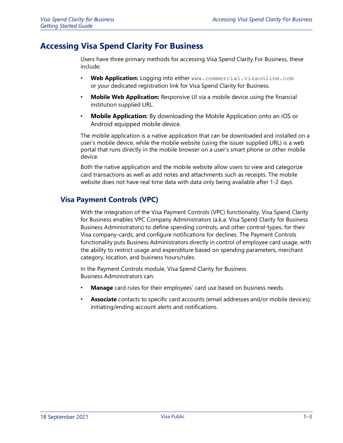## <span id="page-14-0"></span>**Accessing Visa Spend Clarity For Business**

Users have three primary methods for accessing Visa Spend Clarity For Business, these include:

- **Web Application:** Logging into either www.commercial.visaonline.com or your dedicated registration link for Visa Spend Clarity for Business.
- **Mobile Web Application:** Responsive UI via a mobile device using the financial institution supplied URL.
- **Mobile Application:** By downloading the Mobile Application onto an iOS or Android equipped mobile device.

The mobile application is a native application that can be downloaded and installed on a user's mobile device, while the mobile website (using the issuer supplied URL) is a web portal that runs directly in the mobile browser on a user's smart phone or other mobile device.

Both the native application and the mobile website allow users to view and categorize card transactions as well as add notes and attachments such as receipts. The mobile website does not have real time data with data only being available after 1-2 days.

## <span id="page-14-1"></span>**Visa Payment Controls (VPC)**

With the integration of the Visa Payment Controls (VPC) functionality, Visa Spend Clarity for Business enables VPC Company Administrators (a.k.a. Visa Spend Clarity for Business Business Administrators) to define spending controls, and other control-types, for their Visa company-cards, and configure notifications for declines. The Payment Controls functionality puts Business Administrators directly in control of employee card usage, with the ability to restrict usage and expenditure based on spending parameters, merchant category, location, and business hours/rules.

In the Payment Controls module, Visa Spend Clarity for Business Business Administrators can:

- **Manage** card rules for their employees' card use based on business needs.
- **Associate** contacts to specific card accounts (email addresses and/or mobile devices); initiating/ending account alerts and notifications.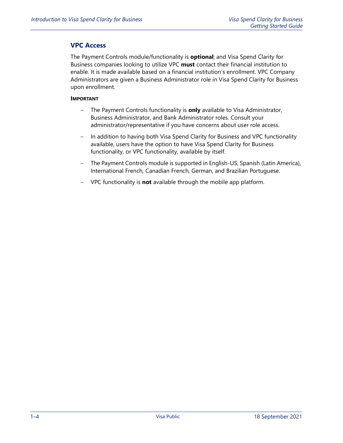## <span id="page-15-0"></span>**VPC Access**

The Payment Controls module/functionality is **optional**; and Visa Spend Clarity for Business companies looking to utilize VPC **must** contact their financial institution to enable. It is made available based on a financial institution's enrollment. VPC Company Administrators are given a Business Administrator role in Visa Spend Clarity for Business upon enrollment.

#### **IMPORTANT**

- The Payment Controls functionality is **only** available to Visa Administrator, Business Administrator, and Bank Administrator roles. Consult your administrator/representative if you have concerns about user role access.
- In addition to having both Visa Spend Clarity for Business and VPC functionality available, users have the option to have Visa Spend Clarity for Business functionality, or VPC functionality, available by itself.
- The Payment Controls module is supported in English-US, Spanish (Latin America), International French, Canadian French, German, and Brazilian Portuguese.
- VPC functionality is **not** available through the mobile app platform.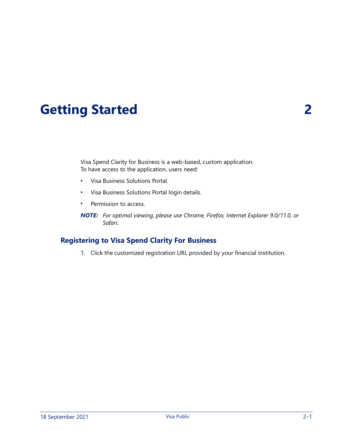# <span id="page-16-0"></span>**Getting Started 2**

Visa Spend Clarity for Business is a web-based, custom application. To have access to the application, users need:

- Visa Business Solutions Portal.
- Visa Business Solutions Portal login details.
- Permission to access.

*NOTE: For optimal viewing, please use Chrome, Firefox, Internet Explorer 9.0/11.0, or Safari.*

## <span id="page-16-1"></span>**Registering to Visa Spend Clarity For Business**

1. Click the customized registration URL provided by your financial institution.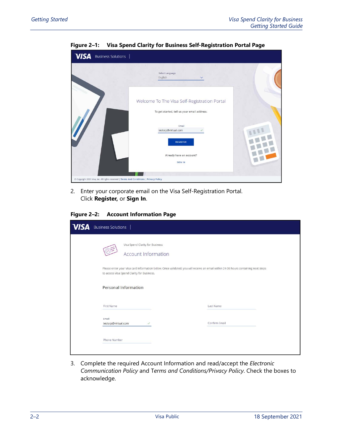<span id="page-17-0"></span>

**Figure 2–1: Visa Spend Clarity for Business Self-Registration Portal Page**

2. Enter your corporate email on the Visa Self-Registration Portal. Click **Register,** or **Sign In**.

<span id="page-17-1"></span>**Figure 2–2: Account Information Page**

| <b>VISA</b> | Business Solutions                                     |                                                                                                                                   |
|-------------|--------------------------------------------------------|-----------------------------------------------------------------------------------------------------------------------------------|
|             | Visa Spend Clarity for Business<br>Account Information |                                                                                                                                   |
|             | to access Visa Spend Clarity for Business.             | Please enter your Visa card information below. Once validated, you will receive an email within 24-36 hours containing next steps |
|             | <b>Personal Information</b>                            |                                                                                                                                   |
|             | First Name                                             | Last Name                                                                                                                         |
|             | Email<br>testsrp@virtual.com<br>$\checkmark$           | Confirm Email                                                                                                                     |
|             | Phone Number                                           |                                                                                                                                   |

3. Complete the required Account Information and read/accept the *Electronic Communication Policy* and T*erms and Conditions/Privacy Policy*. Check the boxes to acknowledge.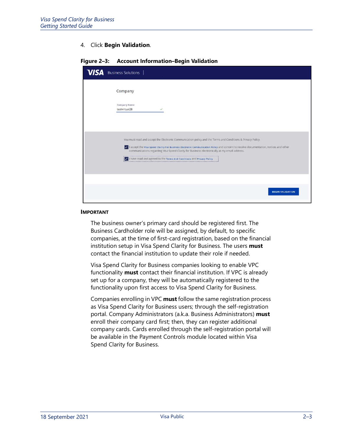#### 4. Click **Begin Validation**.

| <b>VISA</b> | Business Solutions                                                                                                                                                                                                                                                                                                                                  |
|-------------|-----------------------------------------------------------------------------------------------------------------------------------------------------------------------------------------------------------------------------------------------------------------------------------------------------------------------------------------------------|
|             | Company                                                                                                                                                                                                                                                                                                                                             |
|             | Company Name<br>testvirtual28<br>✓                                                                                                                                                                                                                                                                                                                  |
|             |                                                                                                                                                                                                                                                                                                                                                     |
|             | You must read and accept the Electronic Communication policy and the Terms and Conditions & Privacy Policy.<br>I accept the Visa Spend Clarity For Business Electronic Communication Policy and concent to receive documentation, notices and other<br>communications regarding Visa Spend Clarity for Business electronically at my email address. |
|             | I have read and agreed to the Terms And Conditions and Privacy Policy                                                                                                                                                                                                                                                                               |
|             |                                                                                                                                                                                                                                                                                                                                                     |
|             | <b>BEGIN VALIDATION</b>                                                                                                                                                                                                                                                                                                                             |

#### <span id="page-18-0"></span>**Figure 2–3: Account Information–Begin Validation**

#### **IMPORTANT**

The business owner's primary card should be registered first. The Business Cardholder role will be assigned, by default, to specific companies, at the time of first-card registration, based on the financial institution setup in Visa Spend Clarity for Business. The users **must** contact the financial institution to update their role if needed.

Visa Spend Clarity for Business companies looking to enable VPC functionality **must** contact their financial institution. If VPC is already set up for a company, they will be automatically registered to the functionality upon first access to Visa Spend Clarity for Business.

Companies enrolling in VPC **must** follow the same registration process as Visa Spend Clarity for Business users; through the self-registration portal. Company Administrators (a.k.a. Business Administrators) **must** enroll their company card first; then, they can register additional company cards. Cards enrolled through the self-registration portal will be available in the Payment Controls module located within Visa Spend Clarity for Business.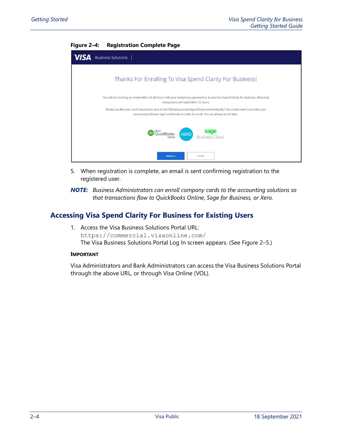<span id="page-19-1"></span>

| $\ldots$                                                 |
|----------------------------------------------------------|
| <b>VISA</b> Business Solutions                           |
|                                                          |
| Thanks For Enrolling To Visa Spend Clarity For Business! |

#### **Figure 2–4: Registration Complete Page**

| You will be receiving an email within 24-36 hours with your temporary password to access Visa Spend Clarity for Business. Historical<br>transactions will load within 72 hours.                                         |                               |
|-------------------------------------------------------------------------------------------------------------------------------------------------------------------------------------------------------------------------|-------------------------------|
| Would you like your card transactions sent to the following accounting software automatically? You would need to provide your<br>accounting software login credentials in order to enroll. You can always enroll later. |                               |
| <b>QD</b> QuickBooks. <b>Xero</b>                                                                                                                                                                                       | <b>sage</b><br>Business Cloud |
| <b>ENROLL</b><br>DONE                                                                                                                                                                                                   |                               |

5. When registration is complete, an email is sent confirming registration to the registered user.

*NOTE: Business Administrators can enroll company cards to the accounting solutions so that transactions flow to QuickBooks Online, Sage for Business, or Xero.*

## <span id="page-19-0"></span>**Accessing Visa Spend Clarity For Business for Existing Users**

1. Access the Visa Business Solutions Portal URL: https://commercial.visaonline.com/ The Visa Business Solutions Portal Log In screen appears. (See [Figure 2–5](#page-20-0).)

#### **IMPORTANT**

Visa Administrators and Bank Administrators can access the Visa Business Solutions Portal through the above URL, or through Visa Online (VOL).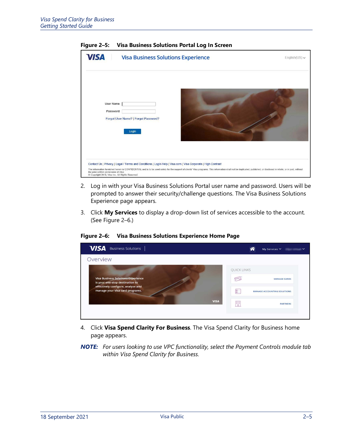<span id="page-20-0"></span>

**Figure 2–5: Visa Business Solutions Portal Log In Screen**

- 2. Log in with your Visa Business Solutions Portal user name and password. Users will be prompted to answer their security/challenge questions. The Visa Business Solutions Experience page appears.
- 3. Click **My Services** to display a drop-down list of services accessible to the account. (See [Figure 2–6.](#page-20-1))

**VISA** Business Solutions 谷 My Services  $\checkmark$  and  $\checkmark$ Overview QUICK LINKS Visa Business Solutions Experien<br>is your one-stop destination to  $\begin{picture}(20,20) \put(0,0){\line(1,0){10}} \put(15,0){\line(1,0){10}} \put(15,0){\line(1,0){10}} \put(15,0){\line(1,0){10}} \put(15,0){\line(1,0){10}} \put(15,0){\line(1,0){10}} \put(15,0){\line(1,0){10}} \put(15,0){\line(1,0){10}} \put(15,0){\line(1,0){10}} \put(15,0){\line(1,0){10}} \put(15,0){\line(1,0){10}} \put(15,0){\line(1$ **MANAGE CARDS** effectively configure, analyse and manage your Visa card programs  $E =$ MANAGE ACCOUNTING SOLUTIONS  $\begin{bmatrix} 0 & 0 & 0 \\ 0 & 0 & 0 \\ 0 & 0 & 0 \\ 0 & 0 & 0 \\ \end{bmatrix}$ **PARTNERS** 

<span id="page-20-1"></span>**Figure 2–6: Visa Business Solutions Experience Home Page**

- 4. Click **Visa Spend Clarity For Business**. The Visa Spend Clarity for Business home page appears.
- *NOTE: For users looking to use VPC functionality, select the Payment Controls module tab within Visa Spend Clarity for Business.*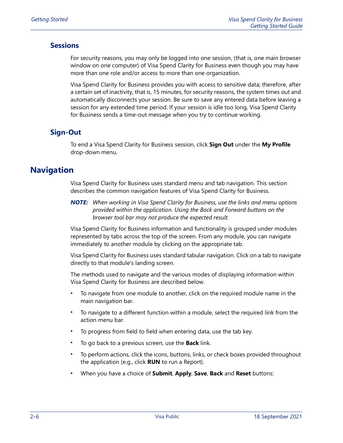## <span id="page-21-0"></span>**Sessions**

For security reasons, you may only be logged into one session, (that is, one main browser window on one computer) of Visa Spend Clarity for Business even though you may have more than one role and/or access to more than one organization.

Visa Spend Clarity for Business provides you with access to sensitive data; therefore, after a certain set of inactivity, that is, 15 minutes, for security reasons, the system times out and automatically disconnects your session. Be sure to save any entered data before leaving a session for any extended time period. If your session is idle too long, Visa Spend Clarity for Business sends a time-out message when you try to continue working.

## <span id="page-21-1"></span>**Sign-Out**

To end a Visa Spend Clarity for Business session, click **Sign Out** under the **My Profile**  drop-down menu.

## <span id="page-21-2"></span>**Navigation**

Visa Spend Clarity for Business uses standard menu and tab navigation. This section describes the common navigation features of Visa Spend Clarity for Business.

*NOTE: When working in Visa Spend Clarity for Business, use the links and menu options provided within the application. Using the Back and Forward buttons on the browser tool bar may not produce the expected result.*

Visa Spend Clarity for Business information and functionality is grouped under modules represented by tabs across the top of the screen. From any module, you can navigate immediately to another module by clicking on the appropriate tab.

Visa Spend Clarity for Business uses standard tabular navigation. Click on a tab to navigate directly to that module's landing screen.

The methods used to navigate and the various modes of displaying information within Visa Spend Clarity for Business are described below.

- To navigate from one module to another, click on the required module name in the main navigation bar.
- To navigate to a different function within a module, select the required link from the action menu bar.
- To progress from field to field when entering data, use the tab key.
- To go back to a previous screen, use the **Back** link.
- To perform actions, click the icons, buttons, links, or check boxes provided throughout the application (e.g., click **RUN** to run a Report).
- When you have a choice of **Submit**, **Apply**, **Save**, **Back** and **Reset** buttons: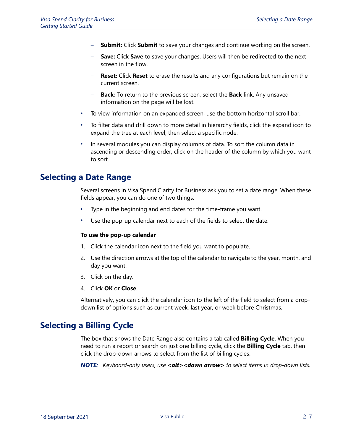- **Submit:** Click **Submit** to save your changes and continue working on the screen.
- **Save:** Click Save to save your changes. Users will then be redirected to the next screen in the flow.
- **Reset:** Click **Reset** to erase the results and any configurations but remain on the current screen.
- **Back:** To return to the previous screen, select the **Back** link. Any unsaved information on the page will be lost.
- To view information on an expanded screen, use the bottom horizontal scroll bar.
- To filter data and drill down to more detail in hierarchy fields, click the expand icon to expand the tree at each level, then select a specific node.
- In several modules you can display columns of data. To sort the column data in ascending or descending order, click on the header of the column by which you want to sort.

## <span id="page-22-0"></span>**Selecting a Date Range**

Several screens in Visa Spend Clarity for Business ask you to set a date range. When these fields appear, you can do one of two things:

- Type in the beginning and end dates for the time-frame you want.
- Use the pop-up calendar next to each of the fields to select the date.

#### **To use the pop-up calendar**

- 1. Click the calendar icon next to the field you want to populate.
- 2. Use the direction arrows at the top of the calendar to navigate to the year, month, and day you want.
- 3. Click on the day.
- 4. Click **OK** or **Close**.

Alternatively, you can click the calendar icon to the left of the field to select from a dropdown list of options such as current week, last year, or week before Christmas.

## <span id="page-22-1"></span>**Selecting a Billing Cycle**

The box that shows the Date Range also contains a tab called **Billing Cycle**. When you need to run a report or search on just one billing cycle, click the **Billing Cycle** tab, then click the drop-down arrows to select from the list of billing cycles.

**NOTE:** *Keyboard-only users, use* <alt><down arrow> to select items in drop-down lists.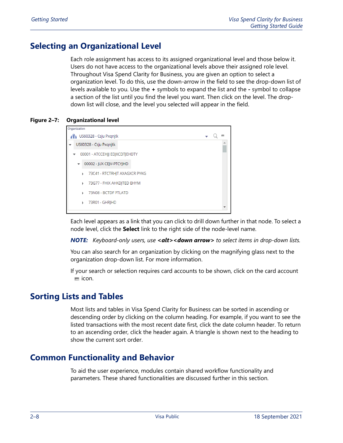## <span id="page-23-0"></span>**Selecting an Organizational Level**

Each role assignment has access to its assigned organizational level and those below it. Users do not have access to the organizational levels above their assigned role level. Throughout Visa Spend Clarity for Business, you are given an option to select a organization level. To do this, use the down-arrow in the field to see the drop-down list of levels available to you. Use the **+** symbols to expand the list and the **-** symbol to collapse a section of the list until you find the level you want. Then click on the level. The dropdown list will close, and the level you selected will appear in the field.

<span id="page-23-3"></span>**Figure 2–7: Organizational level**



Each level appears as a link that you can click to drill down further in that node. To select a node level, click the **Select** link to the right side of the node-level name.

*NOTE: Keyboard-only users, use <alt><down arrow> to select items in drop-down lists.*

You can also search for an organization by clicking on the magnifying glass next to the organization drop-down list. For more information.

If your search or selection requires card accounts to be shown, click on the card account  $=$  icon.

## <span id="page-23-1"></span>**Sorting Lists and Tables**

Most lists and tables in Visa Spend Clarity for Business can be sorted in ascending or descending order by clicking on the column heading. For example, if you want to see the listed transactions with the most recent date first, click the date column header. To return to an ascending order, click the header again. A triangle is shown next to the heading to show the current sort order.

## <span id="page-23-2"></span>**Common Functionality and Behavior**

To aid the user experience, modules contain shared workflow functionality and parameters. These shared functionalities are discussed further in this section.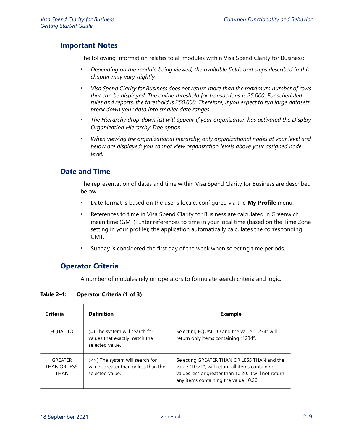## <span id="page-24-0"></span>**Important Notes**

The following information relates to all modules within Visa Spend Clarity for Business:

- *Depending on the module being viewed, the available fields and steps described in this chapter may vary slightly.*
- *Visa Spend Clarity for Business does not return more than the maximum number of rows that can be displayed. The online threshold for transactions is 25,000. For scheduled rules and reports, the threshold is 250,000. Therefore, if you expect to run large datasets, break down your data into smaller date ranges.*
- *The Hierarchy drop-down list will appear if your organization has activated the Display Organization Hierarchy Tree option.*
- *When viewing the organizational hierarchy, only organizational nodes at your level and below are displayed; you cannot view organization levels above your assigned node level.*

## <span id="page-24-1"></span>**Date and Time**

The representation of dates and time within Visa Spend Clarity for Business are described below.

- Date format is based on the user's locale, configured via the **My Profile** menu.
- References to time in Visa Spend Clarity for Business are calculated in Greenwich mean time (GMT). Enter references to time in your local time (based on the Time Zone setting in your profile); the application automatically calculates the corresponding GMT.
- Sunday is considered the first day of the week when selecting time periods.

## <span id="page-24-2"></span>**Operator Criteria**

A number of modules rely on operators to formulate search criteria and logic.

<span id="page-24-3"></span>

| <b>Table 2-1:</b> | <b>Operator Criteria (1 of 3)</b> |
|-------------------|-----------------------------------|
|-------------------|-----------------------------------|

| <b>Criteria</b>                        | <b>Definition</b>                                                                          | <b>Example</b>                                                                                                                                                                                   |
|----------------------------------------|--------------------------------------------------------------------------------------------|--------------------------------------------------------------------------------------------------------------------------------------------------------------------------------------------------|
| EQUAL TO                               | (=) The system will search for<br>values that exactly match the<br>selected value.         | Selecting EQUAL TO and the value "1234" will<br>return only items containing "1234".                                                                                                             |
| <b>GREATER</b><br>THAN OR LESS<br>THAN | (<>) The system will search for<br>values greater than or less than the<br>selected value. | Selecting GREATER THAN OR LESS THAN and the<br>value "10.20", will return all items containing<br>values less or greater than 10.20. It will not return<br>any items containing the value 10.20. |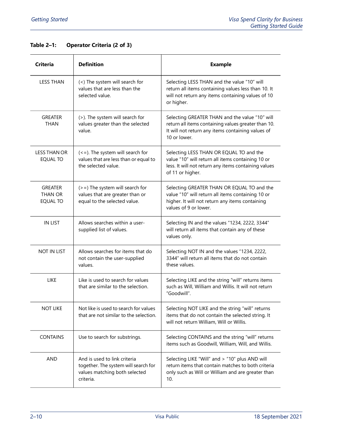## **Table 2–1: Operator Criteria (2 of 3)**

| <b>Criteria</b>                        | <b>Definition</b>                                                                                                   | <b>Example</b>                                                                                                                                                              |
|----------------------------------------|---------------------------------------------------------------------------------------------------------------------|-----------------------------------------------------------------------------------------------------------------------------------------------------------------------------|
| <b>LESS THAN</b>                       | (<) The system will search for<br>values that are less than the<br>selected value.                                  | Selecting LESS THAN and the value "10" will<br>return all items containing values less than 10. It<br>will not return any items containing values of 10<br>or higher.       |
| <b>GREATER</b><br>THAN                 | (>). The system will search for<br>values greater than the selected<br>value.                                       | Selecting GREATER THAN and the value "10" will<br>return all items containing values greater than 10.<br>It will not return any items containing values of<br>10 or lower.  |
| <b>LESS THAN OR</b><br><b>EQUAL TO</b> | $\left($ < = $\right)$ . The system will search for<br>values that are less than or equal to<br>the selected value. | Selecting LESS THAN OR EQUAL TO and the<br>value "10" will return all items containing 10 or<br>less. It will not return any items containing values<br>of 11 or higher.    |
| <b>GREATER</b><br>THAN OR<br>EQUAL TO  | $(>=)$ The system will search for<br>values that are greater than or<br>equal to the selected value.                | Selecting GREATER THAN OR EQUAL TO and the<br>value "10" will return all items containing 10 or<br>higher. It will not return any items containing<br>values of 9 or lower. |
| <b>IN LIST</b>                         | Allows searches within a user-<br>supplied list of values.                                                          | Selecting IN and the values "1234, 2222, 3344"<br>will return all items that contain any of these<br>values only.                                                           |
| <b>NOT IN LIST</b>                     | Allows searches for items that do<br>not contain the user-supplied<br>values.                                       | Selecting NOT IN and the values "1234, 2222,<br>3344" will return all items that do not contain<br>these values.                                                            |
| <b>LIKE</b>                            | Like is used to search for values<br>that are similar to the selection.                                             | Selecting LIKE and the string "will" returns items<br>such as Will, William and Willis. It will not return<br>"Goodwill".                                                   |
| <b>NOT LIKE</b>                        | Not like is used to search for values<br>that are not similar to the selection.                                     | Selecting NOT LIKE and the string "will" returns<br>items that do not contain the selected string. It<br>will not return William, Will or Willis.                           |
| <b>CONTAINS</b>                        | Use to search for substrings.                                                                                       | Selecting CONTAINS and the string "will" returns<br>items such as Goodwill, William, Will, and Willis.                                                                      |
| AND                                    | And is used to link criteria<br>together. The system will search for<br>values matching both selected<br>criteria.  | Selecting LIKE "Will" and > "10" plus AND will<br>return items that contain matches to both criteria<br>only such as Will or William and are greater than<br>10.            |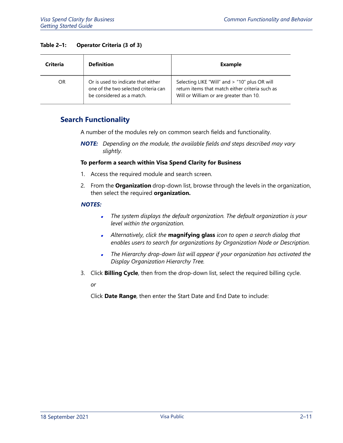#### **Table 2–1: Operator Criteria (3 of 3)**

| Criteria | <b>Definition</b>                                                                                       | Example                                                                                                                                     |
|----------|---------------------------------------------------------------------------------------------------------|---------------------------------------------------------------------------------------------------------------------------------------------|
| OR       | Or is used to indicate that either<br>one of the two selected criteria can<br>be considered as a match. | Selecting LIKE "Will" and > "10" plus OR will<br>return items that match either criteria such as<br>Will or William or are greater than 10. |

## <span id="page-26-0"></span>**Search Functionality**

A number of the modules rely on common search fields and functionality.

*NOTE: Depending on the module, the available fields and steps described may vary slightly.*

#### **To perform a search within Visa Spend Clarity for Business**

- 1. Access the required module and search screen.
- 2. From the **Organization** drop-down list, browse through the levels in the organization, then select the required **organization.**

#### *NOTES:*

- $\blacksquare$  *The system displays the default organization. The default organization is your level within the organization.*
- *Alternatively, click the* **magnifying glass** *icon to open a search dialog that enables users to search for organizations by Organization Node or Description.*
- $\blacksquare$  *The Hierarchy drop-down list will appear if your organization has activated the Display Organization Hierarchy Tree.*
- 3. Click **Billing Cycle**, then from the drop-down list, select the required billing cycle.

*or*

Click **Date Range**, then enter the Start Date and End Date to include: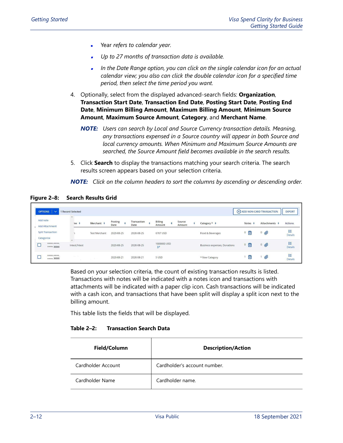- Year *refers to calendar year.*
- *Up to 27 months of transaction data is available.*
- , *In the Date Range option, you can click on the single calendar icon for an actual calendar view; you also can click the double calendar icon for a specified time period, then select the time period you want.*
- 4. Optionally, select from the displayed advanced-search fields: **Organization**, **Transaction Start Date**, **Transaction End Date**, **Posting Start Date**, **Posting End Date**, **Minimum Billing Amount**, **Maximum Billing Amount**, **Minimum Source Amount**, **Maximum Source Amount**, **Category**, and **Merchant Name**.
	- *NOTE: Users can search by Local and Source Currency transaction details. Meaning, any transactions expensed in a Source country will appear in both Source and local currency amounts. When Minimum and Maximum Source Amounts are searched, the Source Amount field becomes available in the search results.*
- 5. Click **Search** to display the transactions matching your search criteria. The search results screen appears based on your selection criteria.

*NOTE: Click on the column headers to sort the columns by ascending or descending order.*

|          | OPTIONS $\vert \vee$                   | 1 Record Selected                          |                      |                 |                     |                                      |                  |   |                              |                     | (+) ADD NON-CARD TRANSACTION | EXPORT                                                                 |
|----------|----------------------------------------|--------------------------------------------|----------------------|-----------------|---------------------|--------------------------------------|------------------|---|------------------------------|---------------------|------------------------------|------------------------------------------------------------------------|
| Add note | _ Add Attachment                       | ne ÷                                       | Merchant :           | Posting<br>Date | Transaction<br>Date | <b>Billing</b><br>Amount             | Source<br>Amount | ÷ | Category $\star$ $\div$      | Notes $\div$        | Attachments <b>÷</b>         | Actions                                                                |
|          | <b>Split Transaction</b><br>Categorize |                                            | <b>Test Merchant</b> | 2020-08-25      | 2020-08-25          | 6767 USD                             |                  |   | Food & Beverages             | 目<br>$\overline{0}$ | $\circ$                      | $\begin{array}{c}\n\bullet \\ \bullet \\ \bullet\n\end{array}$ Details |
|          | ****.****<br>****. XXXX                | $\overline{\phantom{a}}$<br>Intest, fntest |                      | 2020-08-25      | 2020-08-25          | 1000000 USD<br>$\frac{\rho}{\sigma}$ |                  |   | Business expenses, Donations | 。圁                  | 0                            | 扫<br><b>Details</b>                                                    |
|          | ****.****<br>**** XXXX                 | -42.183<br>$\sim$                          | The State            | 2020-08-21      | 2020-08-21          | 5 USD                                |                  |   | * New Category               | 圁                   | Ø                            | E<br>Details                                                           |

#### <span id="page-27-0"></span>**Figure 2–8: Search Results Grid**

Based on your selection criteria, the count of existing transaction results is listed. Transactions with notes will be indicated with a notes icon and transactions with attachments will be indicated with a paper clip icon. Cash transactions will be indicated with a cash icon, and transactions that have been split will display a split icon next to the billing amount.

This table lists the fields that will be displayed.

#### <span id="page-27-1"></span>**Table 2–2: Transaction Search Data**

| Field/Column       | <b>Description/Action</b>    |
|--------------------|------------------------------|
| Cardholder Account | Cardholder's account number. |
| Cardholder Name    | Cardholder name.             |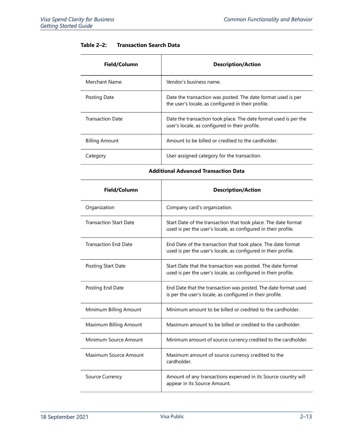|  | Table $2-2$ : | <b>Transaction Search Data</b> |  |
|--|---------------|--------------------------------|--|
|--|---------------|--------------------------------|--|

| Field/Column            | <b>Description/Action</b>                                                                                          |
|-------------------------|--------------------------------------------------------------------------------------------------------------------|
| Merchant Name           | Vendor's business name.                                                                                            |
| Posting Date            | Date the transaction was posted. The date format used is per<br>the user's locale, as configured in their profile. |
| <b>Transaction Date</b> | Date the transaction took place. The date format used is per the<br>user's locale, as configured in their profile. |
| <b>Billing Amount</b>   | Amount to be billed or credited to the cardholder.                                                                 |
| Category                | User assigned category for the transaction.                                                                        |

**Additional Advanced Transaction Data**

| Field/Column                  | <b>Description/Action</b>                                                                                                        |
|-------------------------------|----------------------------------------------------------------------------------------------------------------------------------|
| Organization                  | Company card's organization.                                                                                                     |
| <b>Transaction Start Date</b> | Start Date of the transaction that took place. The date format<br>used is per the user's locale, as configured in their profile. |
| <b>Transaction End Date</b>   | End Date of the transaction that took place. The date format<br>used is per the user's locale, as configured in their profile.   |
| Posting Start Date            | Start Date that the transaction was posted. The date format<br>used is per the user's locale, as configured in their profile.    |
| Posting End Date              | End Date that the transaction was posted. The date format used<br>is per the user's locale, as configured in their profile.      |
| Minimum Billing Amount        | Minimum amount to be billed or credited to the cardholder.                                                                       |
| Maximum Billing Amount        | Maximum amount to be billed or credited to the cardholder.                                                                       |
| Minimum Source Amount         | Minimum amount of source currency credited to the cardholder.                                                                    |
| Maximum Source Amount         | Maximum amount of source currency credited to the<br>cardholder.                                                                 |
| Source Currency               | Amount of any transactions expensed in its Source country will<br>appear in its Source Amount.                                   |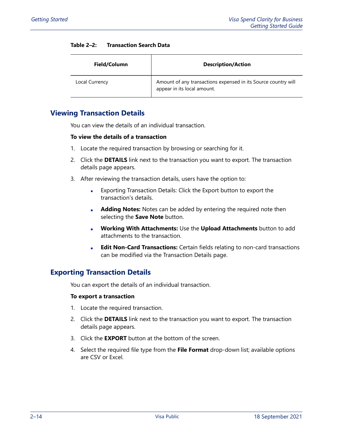| Field/Column   | <b>Description/Action</b>                                                                     |
|----------------|-----------------------------------------------------------------------------------------------|
| Local Currency | Amount of any transactions expensed in its Source country will<br>appear in its local amount. |

#### **Table 2–2: Transaction Search Data**

## <span id="page-29-0"></span>**Viewing Transaction Details**

You can view the details of an individual transaction.

#### **To view the details of a transaction**

- 1. Locate the required transaction by browsing or searching for it.
- 2. Click the **DETAILS** link next to the transaction you want to export. The transaction details page appears.
- 3. After reviewing the transaction details, users have the option to:
	- [Exporting Transaction Details:](#page-29-1) Click the Export button to export the transaction's details.
	- **Adding Notes:** Notes can be added by entering the required note then selecting the **Save Note** button.
	- **Working With Attachments:** Use the **Upload Attachments** button to add attachments to the transaction.
	- **Edit Non-Card Transactions:** Certain fields relating to non-card transactions can be modified via the Transaction Details page.

## <span id="page-29-1"></span>**Exporting Transaction Details**

You can export the details of an individual transaction.

#### **To export a transaction**

- 1. Locate the required transaction.
- 2. Click the **DETAILS** link next to the transaction you want to export. The transaction details page appears.
- 3. Click the **EXPORT** button at the bottom of the screen.
- 4. Select the required file type from the **File Format** drop-down list; available options are CSV or Excel.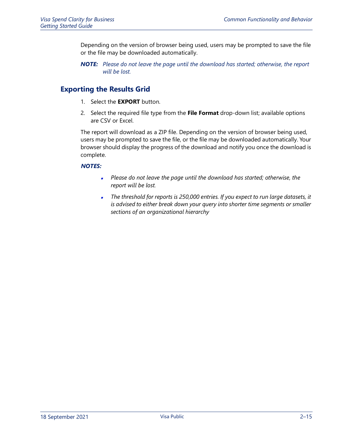Depending on the version of browser being used, users may be prompted to save the file or the file may be downloaded automatically.

*NOTE: Please do not leave the page until the download has started; otherwise, the report will be lost.*

## <span id="page-30-0"></span>**Exporting the Results Grid**

- 1. Select the **EXPORT** button.
- 2. Select the required file type from the **File Format** drop-down list; available options are CSV or Excel.

The report will download as a ZIP file. Depending on the version of browser being used, users may be prompted to save the file, or the file may be downloaded automatically. Your browser should display the progress of the download and notify you once the download is complete.

#### *NOTES:*

- $\blacksquare$  *Please do not leave the page until the download has started; otherwise, the report will be lost.*
- *The threshold for reports is 250,000 entries. If you expect to run large datasets, it is advised to either break down your query into shorter time segments or smaller sections of an organizational hierarchy*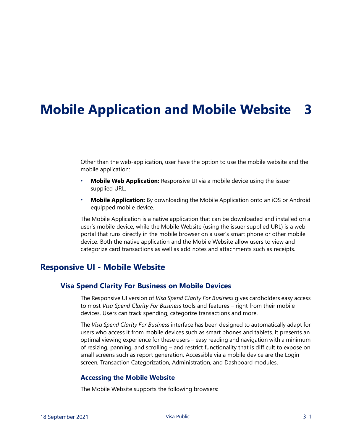# <span id="page-32-0"></span>**Mobile Application and Mobile Website 3**

Other than the web-application, user have the option to use the mobile website and the mobile application:

- **Mobile Web Application:** Responsive UI via a mobile device using the issuer supplied URL.
- **Mobile Application:** By downloading the Mobile Application onto an iOS or Android equipped mobile device.

The Mobile Application is a native application that can be downloaded and installed on a user's mobile device, while the Mobile Website (using the issuer supplied URL) is a web portal that runs directly in the mobile browser on a user's smart phone or other mobile device. Both the native application and the Mobile Website allow users to view and categorize card transactions as well as add notes and attachments such as receipts.

## <span id="page-32-2"></span><span id="page-32-1"></span>**Responsive UI - Mobile Website**

### **Visa Spend Clarity For Business on Mobile Devices**

The Responsive UI version of *Visa Spend Clarity For Business* gives cardholders easy access to most *Visa Spend Clarity For Business* tools and features – right from their mobile devices. Users can track spending, categorize transactions and more.

The *Visa Spend Clarity For Business* interface has been designed to automatically adapt for users who access it from mobile devices such as smart phones and tablets. It presents an optimal viewing experience for these users – easy reading and navigation with a minimum of resizing, panning, and scrolling – and restrict functionality that is difficult to expose on small screens such as report generation. Accessible via a mobile device are the Login screen, Transaction Categorization, Administration, and Dashboard modules.

#### <span id="page-32-3"></span>**Accessing the Mobile Website**

The Mobile Website supports the following browsers: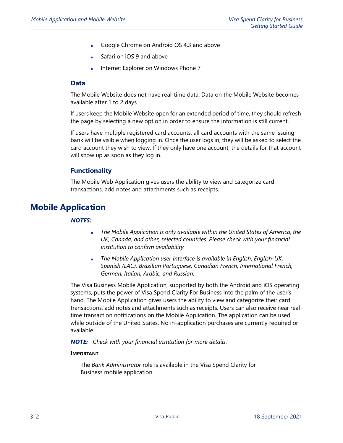- Google Chrome on Android OS 4.3 and above
- Safari on iOS 9 and above
- Internet Explorer on Windows Phone 7

#### <span id="page-33-0"></span>**Data**

The Mobile Website does not have real-time data. Data on the Mobile Website becomes available after 1 to 2 days.

If users keep the Mobile Website open for an extended period of time, they should refresh the page by selecting a new option in order to ensure the information is still current.

If users have multiple registered card accounts, all card accounts with the same issuing bank will be visible when logging in. Once the user logs in, they will be asked to select the card account they wish to view. If they only have one account, the details for that account will show up as soon as they log in.

#### **Functionality**

The Mobile Web Application gives users the ability to view and categorize card transactions, add notes and attachments such as receipts.

## <span id="page-33-2"></span><span id="page-33-1"></span>**Mobile Application**

#### *NOTES:*

- *The Mobile Application is only available within the United States of America, the UK, Canada, and other, selected countries. Please check with your financial institution to confirm availability.*
- , *The Mobile Application user interface is available in English, English-UK, Spanish (LAC), Brazilian Portuguese, Canadian French, International French, German, Italian, Arabic, and Russian.*

The Visa Business Mobile Application, supported by both the Android and iOS operating systems, puts the power of Visa Spend Clarity For Business into the palm of the user's hand. The Mobile Application gives users the ability to view and categorize their card transactions, add notes and attachments such as receipts. Users can also receive near realtime transaction notifications on the Mobile Application. The application can be used while outside of the United States. No in-application purchases are currently required or available.

*NOTE: Check with your financial institution for more details.*

#### **IMPORTANT**

The *Bank Administrator* role is available in the Visa Spend Clarity for Business mobile application.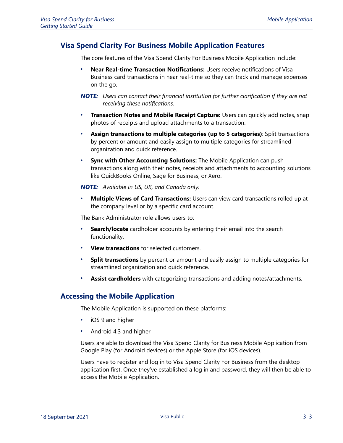## <span id="page-34-0"></span>**Visa Spend Clarity For Business Mobile Application Features**

The core features of the Visa Spend Clarity For Business Mobile Application include:

 **Near Real-time Transaction Notifications:** Users receive notifications of Visa Business card transactions in near real-time so they can track and manage expenses on the go.

- **Transaction Notes and Mobile Receipt Capture:** Users can quickly add notes, snap photos of receipts and upload attachments to a transaction.
- **Assign transactions to multiple categories (up to 5 categories)**: Split transactions by percent or amount and easily assign to multiple categories for streamlined organization and quick reference.
- **Sync with Other Accounting Solutions:** The Mobile Application can push transactions along with their notes, receipts and attachments to accounting solutions like QuickBooks Online, Sage for Business, or Xero.

*NOTE: Available in US, UK, and Canada only.*

 **Multiple Views of Card Transactions:** Users can view card transactions rolled up at the company level or by a specific card account.

The Bank Administrator role allows users to:

- **Search/locate** cardholder accounts by entering their email into the search functionality.
- **View transactions** for selected customers.
- **Split transactions** by percent or amount and easily assign to multiple categories for streamlined organization and quick reference.
- **Assist cardholders** with categorizing transactions and adding notes/attachments.

### <span id="page-34-1"></span>**Accessing the Mobile Application**

The Mobile Application is supported on these platforms:

- iOS 9 and higher
- Android 4.3 and higher

Users are able to download the Visa Spend Clarity for Business Mobile Application from Google Play (for Android devices) or the Apple Store (for iOS devices).

Users have to register and log in to Visa Spend Clarity For Business from the desktop application first. Once they've established a log in and password, they will then be able to access the Mobile Application.

*NOTE: Users can contact their financial institution for further clarification if they are not receiving these notifications.*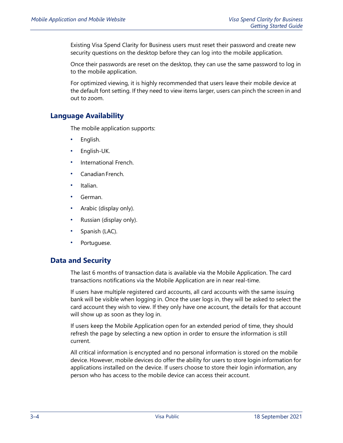Existing Visa Spend Clarity for Business users must reset their password and create new security questions on the desktop before they can log into the mobile application.

Once their passwords are reset on the desktop, they can use the same password to log in to the mobile application.

For optimized viewing, it is highly recommended that users leave their mobile device at the default font setting. If they need to view items larger, users can pinch the screen in and out to zoom.

## <span id="page-35-0"></span>**Language Availability**

The mobile application supports:

- English.
- English-UK.
- International French.
- Canadian French.
- Italian.
- German.
- Arabic (display only).
- Russian (display only).
- Spanish (LAC).
- Portuguese.

### <span id="page-35-1"></span>**Data and Security**

The last 6 months of transaction data is available via the Mobile Application. The card transactions notifications via the Mobile Application are in near real-time.

If users have multiple registered card accounts, all card accounts with the same issuing bank will be visible when logging in. Once the user logs in, they will be asked to select the card account they wish to view. If they only have one account, the details for that account will show up as soon as they log in.

If users keep the Mobile Application open for an extended period of time, they should refresh the page by selecting a new option in order to ensure the information is still current.

All critical information is encrypted and no personal information is stored on the mobile device. However, mobile devices do offer the ability for users to store login information for applications installed on the device. If users choose to store their login information, any person who has access to the mobile device can access their account.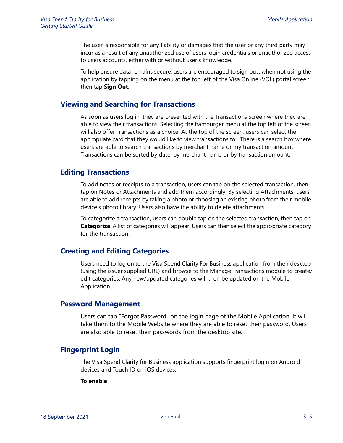The user is responsible for any liability or damages that the user or any third party may incur as a result of any unauthorized use of users login credentials or unauthorized access to users accounts, either with or without user's knowledge.

To help ensure data remains secure, users are encouraged to sign putt when not using the application by tapping on the menu at the top left of the Visa Online (VOL) portal screen, then tap **Sign Out**.

#### <span id="page-36-0"></span>**Viewing and Searching for Transactions**

As soon as users log in, they are presented with the Transactions screen where they are able to view their transactions. Selecting the hamburger menu at the top left of the screen will also offer Transactions as a choice. At the top of the screen, users can select the appropriate card that they would like to view transactions for. There is a search box where users are able to search transactions by merchant name or my transaction amount. Transactions can be sorted by date, by merchant name or by transaction amount.

### <span id="page-36-1"></span>**Editing Transactions**

To add notes or receipts to a transaction, users can tap on the selected transaction, then tap on Notes or Attachments and add them accordingly. By selecting Attachments, users are able to add receipts by taking a photo or choosing an existing photo from their mobile device's photo library. Users also have the ability to delete attachments.

To categorize a transaction, users can double tap on the selected transaction, then tap on **Categorize**. A list of categories will appear. Users can then select the appropriate category for the transaction.

### <span id="page-36-2"></span>**Creating and Editing Categories**

Users need to log on to the Visa Spend Clarity For Business application from their desktop (using the issuer supplied URL) and browse to the Manage Transactions module to create/ edit categories. Any new/updated categories will then be updated on the Mobile Application.

#### <span id="page-36-3"></span>**Password Management**

Users can tap "Forgot Password" on the login page of the Mobile Application. It will take them to the Mobile Website where they are able to reset their password. Users are also able to reset their passwords from the desktop site.

#### <span id="page-36-4"></span>**Fingerprint Login**

The Visa Spend Clarity for Business application supports fingerprint login on Android devices and Touch ID on iOS devices.

#### **To enable**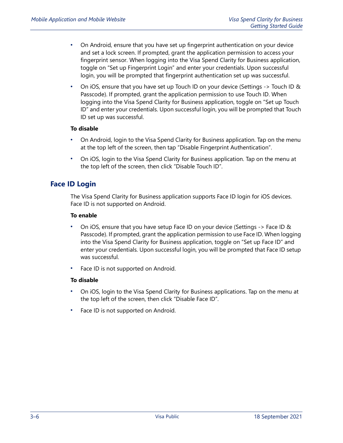- On Android, ensure that you have set up fingerprint authentication on your device and set a lock screen. If prompted, grant the application permission to access your fingerprint sensor. When logging into the Visa Spend Clarity for Business application, toggle on "Set up Fingerprint Login" and enter your credentials. Upon successful login, you will be prompted that fingerprint authentication set up was successful.
- On iOS, ensure that you have set up Touch ID on your device (Settings -> Touch ID & Passcode). If prompted, grant the application permission to use Touch ID. When logging into the Visa Spend Clarity for Business application, toggle on "Set up Touch ID" and enter your credentials. Upon successful login, you will be prompted that Touch ID set up was successful.

#### **To disable**

- On Android, login to the Visa Spend Clarity for Business application. Tap on the menu at the top left of the screen, then tap "Disable Fingerprint Authentication".
- On iOS, login to the Visa Spend Clarity for Business application. Tap on the menu at the top left of the screen, then click "Disable Touch ID".

## <span id="page-37-0"></span>**Face ID Login**

The Visa Spend Clarity for Business application supports Face ID login for iOS devices. Face ID is not supported on Android.

#### **To enable**

- On iOS, ensure that you have setup Face ID on your device (Settings -> Face ID & Passcode). If prompted, grant the application permission to use Face ID. When logging into the Visa Spend Clarity for Business application, toggle on "Set up Face ID" and enter your credentials. Upon successful login, you will be prompted that Face ID setup was successful.
- Face ID is not supported on Android.

#### **To disable**

- On iOS, login to the Visa Spend Clarity for Business applications. Tap on the menu at the top left of the screen, then click "Disable Face ID".
- Face ID is not supported on Android.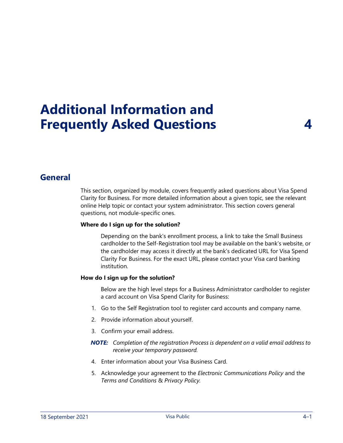# <span id="page-38-0"></span>**Additional Information and Frequently Asked Questions 4**

## <span id="page-38-1"></span>**General**

This section, organized by module, covers frequently asked questions about Visa Spend Clarity for Business. For more detailed information about a given topic, see the relevant online Help topic or contact your system administrator. This section covers general questions, not module-specific ones.

#### **Where do I sign up for the solution?**

Depending on the bank's enrollment process, a link to take the Small Business cardholder to the Self-Registration tool may be available on the bank's website, or the cardholder may access it directly at the bank's dedicated URL for Visa Spend Clarity For Business. For the exact URL, please contact your Visa card banking institution.

#### **How do I sign up for the solution?**

Below are the high level steps for a Business Administrator cardholder to register a card account on Visa Spend Clarity for Business:

- 1. Go to the Self Registration tool to register card accounts and company name.
- 2. Provide information about yourself.
- 3. Confirm your email address.
- *NOTE: Completion of the registration Process is dependent on a valid email address to receive your temporary password.*
- 4. Enter information about your Visa Business Card.
- 5. Acknowledge your agreement to the *Electronic Communications Policy* and the *Terms and Conditions* & *Privacy Policy.*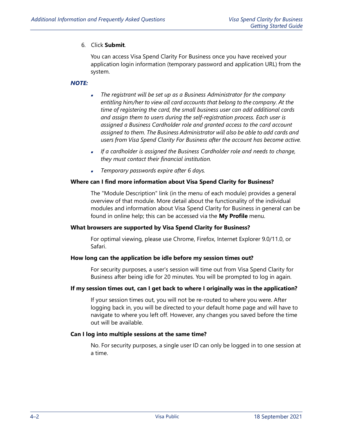#### 6. Click **Submit**.

You can access Visa Spend Clarity For Business once you have received your application login information (temporary password and application URL) from the system.

#### *NOTE:*

- *The registrant will be set up as a Business Administrator for the company entitling him/her to view all card accounts that belong to the company. At the time of registering the card, the small business user can add additional cards and assign them to users during the self-registration process. Each user is assigned a Business Cardholder role and granted access to the card account assigned to them. The Business Administrator will also be able to add cards and users from Visa Spend Clarity For Business after the account has become active.*
- *If a cardholder is assigned the Business Cardholder role and needs to change, they must contact their financial institution.*
- *Temporary passwords expire after 6 days.*

#### **Where can I find more information about Visa Spend Clarity for Business?**

The "Module Description" link (in the menu of each module) provides a general overview of that module. More detail about the functionality of the individual modules and information about Visa Spend Clarity for Business in general can be found in online help; this can be accessed via the **My Profile** menu.

#### **What browsers are supported by Visa Spend Clarity for Business?**

For optimal viewing, please use Chrome, Firefox, Internet Explorer 9.0/11.0, or Safari.

#### **How long can the application be idle before my session times out?**

For security purposes, a user's session will time out from Visa Spend Clarity for Business after being idle for 20 minutes. You will be prompted to log in again.

#### **If my session times out, can I get back to where I originally was in the application?**

If your session times out, you will not be re-routed to where you were. After logging back in, you will be directed to your default home page and will have to navigate to where you left off. However, any changes you saved before the time out will be available.

#### **Can I log into multiple sessions at the same time?**

No. For security purposes, a single user ID can only be logged in to one session at a time.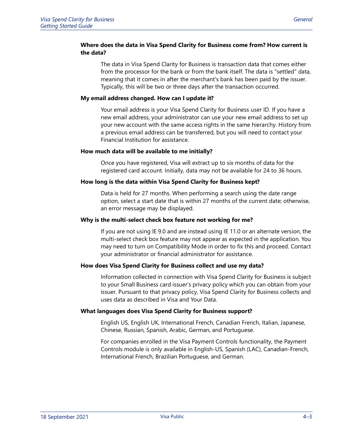#### **Where does the data in Visa Spend Clarity for Business come from? How current is the data?**

The data in Visa Spend Clarity for Business is transaction data that comes either from the processor for the bank or from the bank itself. The data is "settled" data, meaning that it comes in after the merchant's bank has been paid by the issuer. Typically, this will be two or three days after the transaction occurred.

#### **My email address changed. How can I update it?**

Your email address is your Visa Spend Clarity for Business user ID. If you have a new email address, your administrator can use your new email address to set up your new account with the same access rights in the same hierarchy. History from a previous email address can be transferred, but you will need to contact your Financial Institution for assistance.

#### **How much data will be available to me initially?**

Once you have registered, Visa will extract up to six months of data for the registered card account. Initially, data may not be available for 24 to 36 hours.

#### **How long is the data within Visa Spend Clarity for Business kept?**

Data is held for 27 months. When performing a search using the date range option, select a start date that is within 27 months of the current date; otherwise, an error message may be displayed.

#### **Why is the multi-select check box feature not working for me?**

If you are not using IE 9.0 and are instead using IE 11.0 or an alternate version, the multi-select check box feature may not appear as expected in the application. You may need to turn on Compatibility Mode in order to fix this and proceed. Contact your administrator or financial administrator for assistance.

#### **How does Visa Spend Clarity for Business collect and use my data?**

Information collected in connection with Visa Spend Clarity for Business is subject to your Small Business card issuer's privacy policy which you can obtain from your issuer. Pursuant to that privacy policy, Visa Spend Clarity for Business collects and uses data as described in Visa and Your Data.

#### **What languages does Visa Spend Clarity for Business support?**

English US, English UK, International French, Canadian French, Italian, Japanese, Chinese, Russian, Spanish, Arabic, German, and Portuguese.

For companies enrolled in the Visa Payment Controls functionality, the Payment Controls module is only available in English-US, Spanish (LAC), Canadian-French, International French, Brazilian Portuguese, and German.